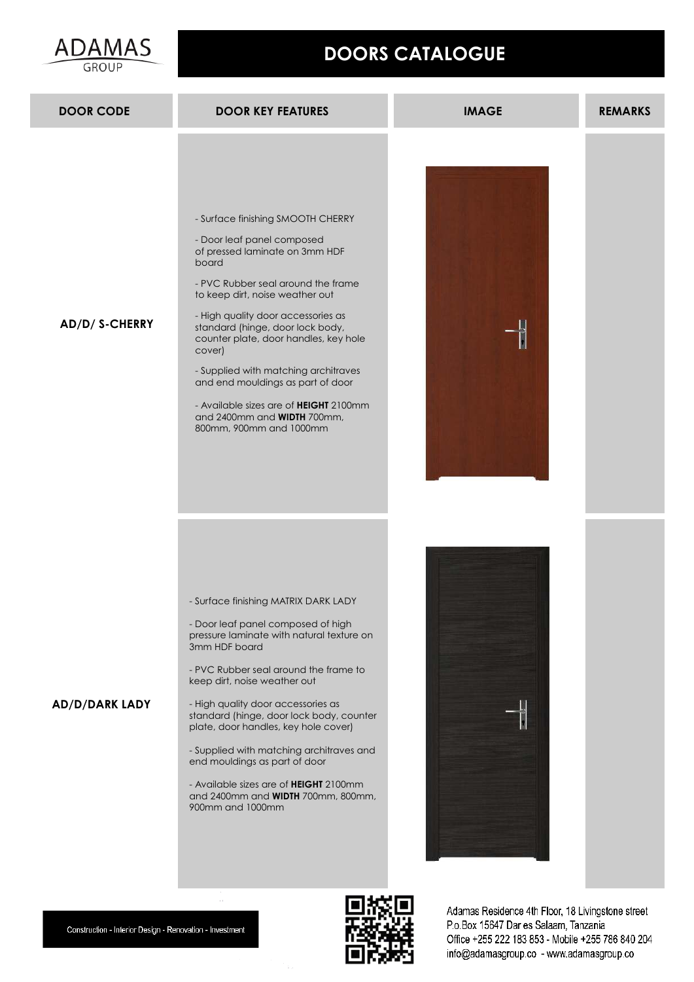



Construction - Interior Design - Renovation - Investment

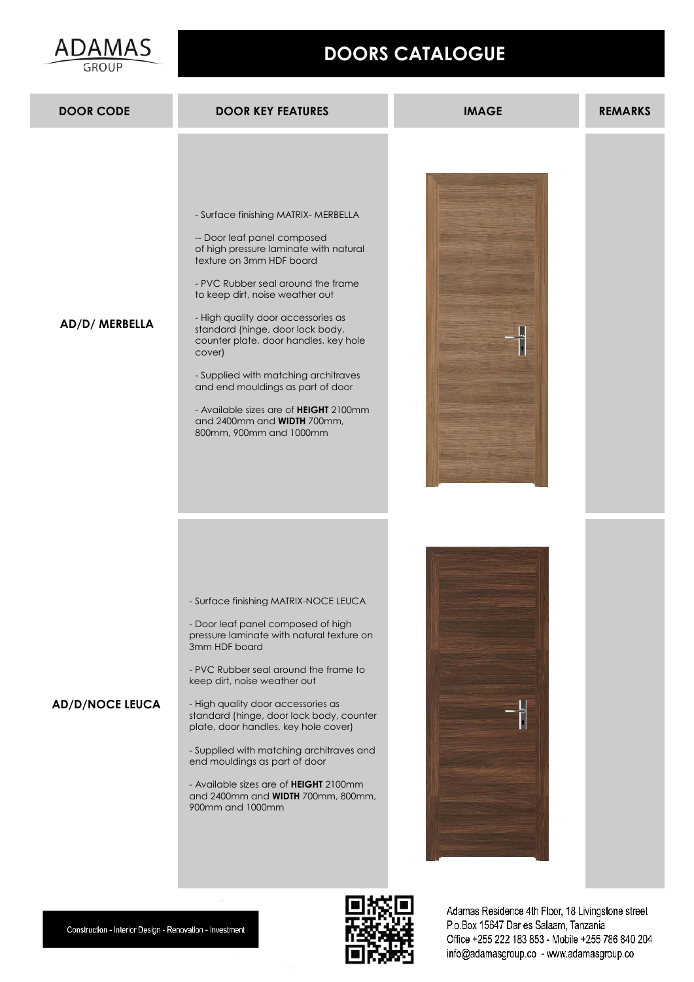



Construction - Interior Design - Renovation - Investment

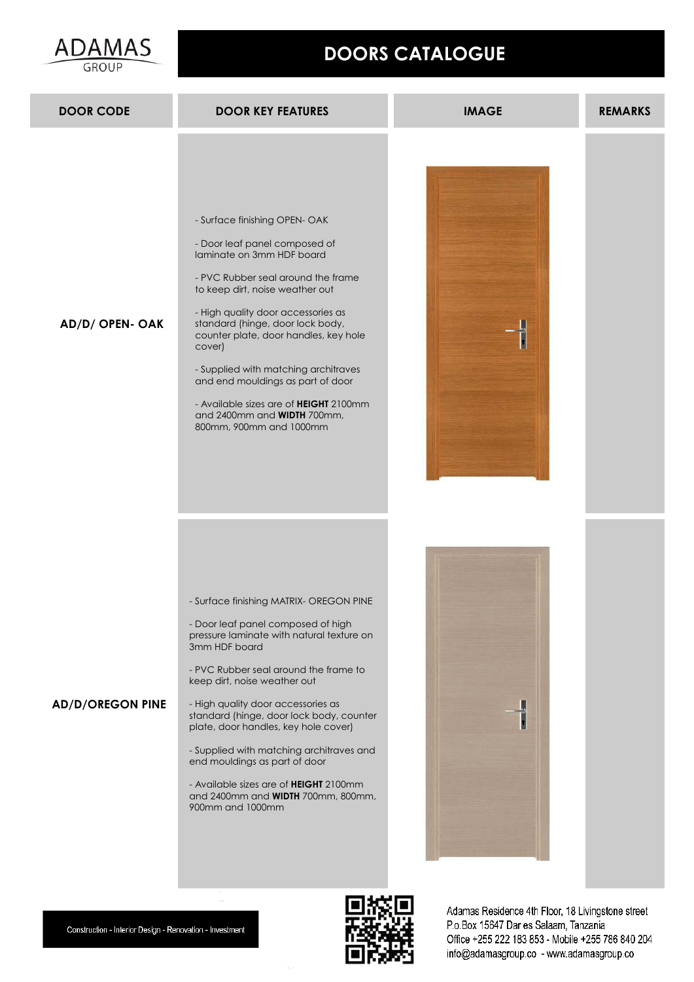



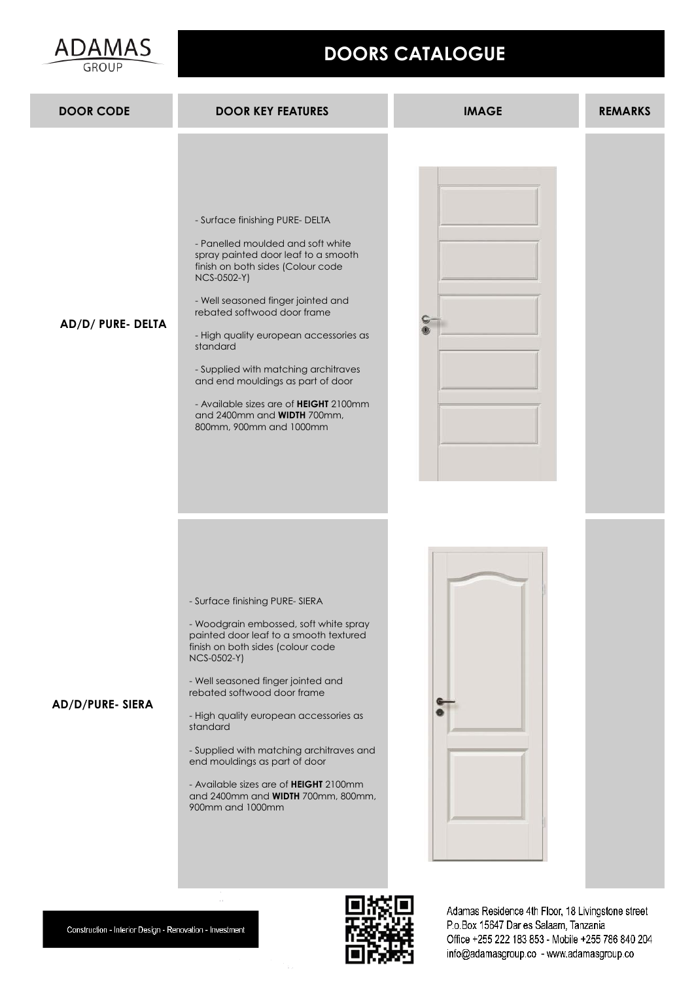



ADAMAS



P.o.Box 15647 Dar es Salaam, Tanzania Office +255 222 183 853 - Mobile +255 786 840 204 info@adamasgroup.co - www.adamasgroup.co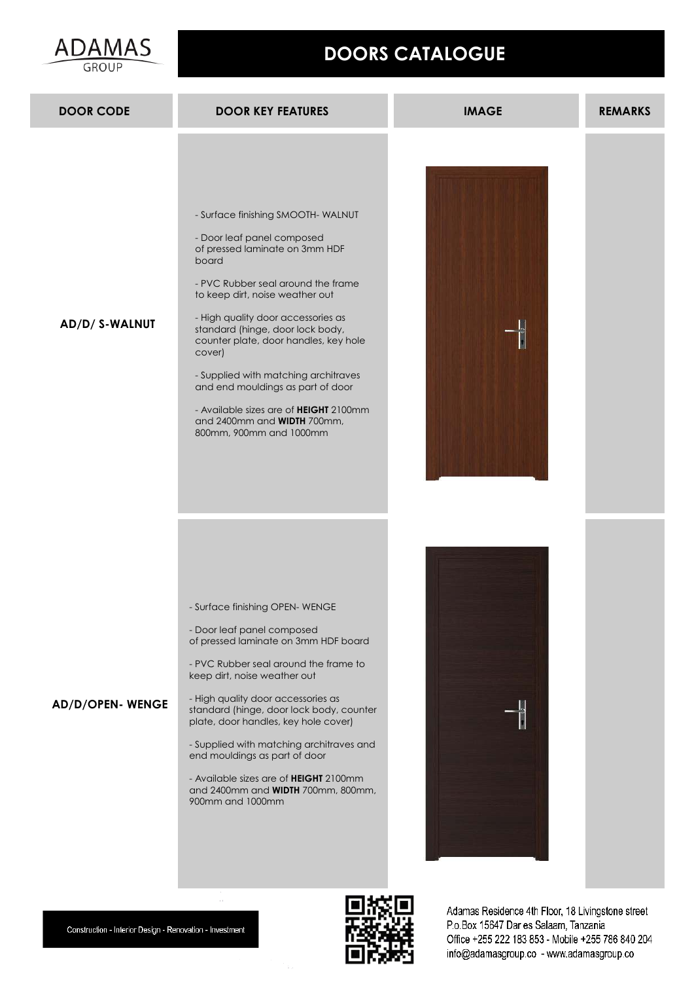